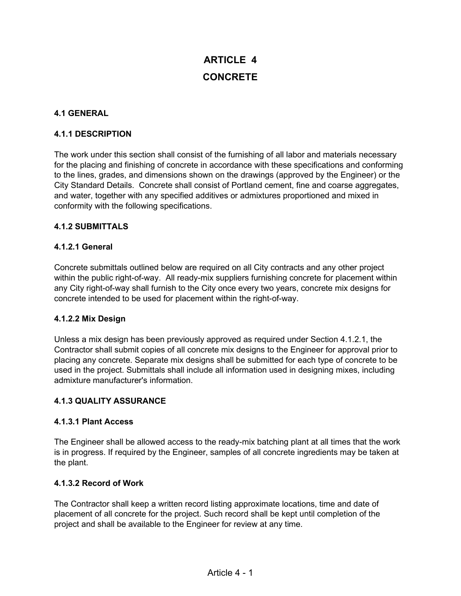# **ARTICLE 4 CONCRETE**

## **4.1 GENERAL**

## **4.1.1 DESCRIPTION**

The work under this section shall consist of the furnishing of all labor and materials necessary for the placing and finishing of concrete in accordance with these specifications and conforming to the lines, grades, and dimensions shown on the drawings (approved by the Engineer) or the City Standard Details. Concrete shall consist of Portland cement, fine and coarse aggregates, and water, together with any specified additives or admixtures proportioned and mixed in conformity with the following specifications.

## **4.1.2 SUBMITTALS**

## **4.1.2.1 General**

Concrete submittals outlined below are required on all City contracts and any other project within the public right-of-way. All ready-mix suppliers furnishing concrete for placement within any City right-of-way shall furnish to the City once every two years, concrete mix designs for concrete intended to be used for placement within the right-of-way.

#### **4.1.2.2 Mix Design**

Unless a mix design has been previously approved as required under Section 4.1.2.1, the Contractor shall submit copies of all concrete mix designs to the Engineer for approval prior to placing any concrete. Separate mix designs shall be submitted for each type of concrete to be used in the project. Submittals shall include all information used in designing mixes, including admixture manufacturer's information.

#### **4.1.3 QUALITY ASSURANCE**

#### **4.1.3.1 Plant Access**

The Engineer shall be allowed access to the ready-mix batching plant at all times that the work is in progress. If required by the Engineer, samples of all concrete ingredients may be taken at the plant.

#### **4.1.3.2 Record of Work**

The Contractor shall keep a written record listing approximate locations, time and date of placement of all concrete for the project. Such record shall be kept until completion of the project and shall be available to the Engineer for review at any time.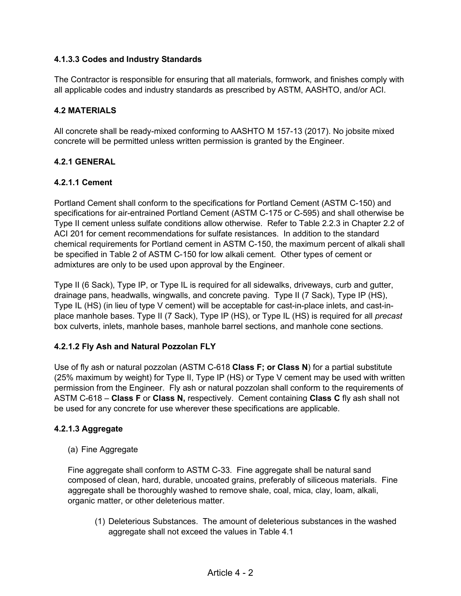## **4.1.3.3 Codes and Industry Standards**

The Contractor is responsible for ensuring that all materials, formwork, and finishes comply with all applicable codes and industry standards as prescribed by ASTM, AASHTO, and/or ACI.

#### **4.2 MATERIALS**

All concrete shall be ready-mixed conforming to AASHTO M 157-13 (2017). No jobsite mixed concrete will be permitted unless written permission is granted by the Engineer.

## **4.2.1 GENERAL**

## **4.2.1.1 Cement**

Portland Cement shall conform to the specifications for Portland Cement (ASTM C-150) and specifications for air-entrained Portland Cement (ASTM C-175 or C-595) and shall otherwise be Type II cement unless sulfate conditions allow otherwise. Refer to Table 2.2.3 in Chapter 2.2 of ACI 201 for cement recommendations for sulfate resistances. In addition to the standard chemical requirements for Portland cement in ASTM C-150, the maximum percent of alkali shall be specified in Table 2 of ASTM C-150 for low alkali cement. Other types of cement or admixtures are only to be used upon approval by the Engineer.

Type II (6 Sack), Type IP, or Type IL is required for all sidewalks, driveways, curb and gutter, drainage pans, headwalls, wingwalls, and concrete paving. Type II (7 Sack), Type IP (HS), Type IL (HS) (in lieu of type V cement) will be acceptable for cast-in-place inlets, and cast-inplace manhole bases. Type II (7 Sack), Type IP (HS), or Type IL (HS) is required for all *precast* box culverts, inlets, manhole bases, manhole barrel sections, and manhole cone sections.

## **4.2.1.2 Fly Ash and Natural Pozzolan FLY**

Use of fly ash or natural pozzolan (ASTM C-618 **Class F; or Class N**) for a partial substitute (25% maximum by weight) for Type II, Type IP (HS) or Type V cement may be used with written permission from the Engineer. Fly ash or natural pozzolan shall conform to the requirements of ASTM C-618 – **Class F** or **Class N,** respectively. Cement containing **Class C** fly ash shall not be used for any concrete for use wherever these specifications are applicable.

#### **4.2.1.3 Aggregate**

(a) Fine Aggregate

Fine aggregate shall conform to ASTM C-33. Fine aggregate shall be natural sand composed of clean, hard, durable, uncoated grains, preferably of siliceous materials. Fine aggregate shall be thoroughly washed to remove shale, coal, mica, clay, loam, alkali, organic matter, or other deleterious matter.

(1) Deleterious Substances. The amount of deleterious substances in the washed aggregate shall not exceed the values in Table 4.1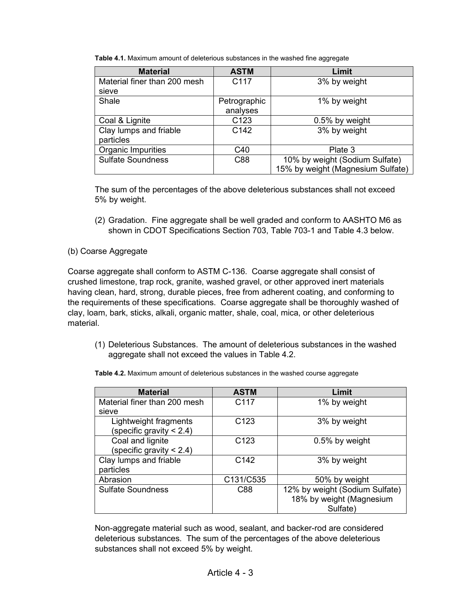| <b>Material</b>              | <b>ASTM</b>      | Limit                             |
|------------------------------|------------------|-----------------------------------|
| Material finer than 200 mesh | C117             | 3% by weight                      |
| sieve                        |                  |                                   |
| Shale                        | Petrographic     | 1% by weight                      |
|                              | analyses         |                                   |
| Coal & Lignite               | C <sub>123</sub> | 0.5% by weight                    |
| Clay lumps and friable       | C <sub>142</sub> | 3% by weight                      |
| particles                    |                  |                                   |
| Organic Impurities           | C40              | Plate 3                           |
| <b>Sulfate Soundness</b>     | C88              | 10% by weight (Sodium Sulfate)    |
|                              |                  | 15% by weight (Magnesium Sulfate) |

**Table 4.1.** Maximum amount of deleterious substances in the washed fine aggregate

The sum of the percentages of the above deleterious substances shall not exceed 5% by weight.

(2) Gradation. Fine aggregate shall be well graded and conform to AASHTO M6 as shown in CDOT Specifications Section 703, Table 703-1 and Table 4.3 below.

## (b) Coarse Aggregate

Coarse aggregate shall conform to ASTM C-136. Coarse aggregate shall consist of crushed limestone, trap rock, granite, washed gravel, or other approved inert materials having clean, hard, strong, durable pieces, free from adherent coating, and conforming to the requirements of these specifications. Coarse aggregate shall be thoroughly washed of clay, loam, bark, sticks, alkali, organic matter, shale, coal, mica, or other deleterious material.

(1) Deleterious Substances. The amount of deleterious substances in the washed aggregate shall not exceed the values in Table 4.2.

| <b>Material</b>              | <b>ASTM</b>      | Limit                          |
|------------------------------|------------------|--------------------------------|
| Material finer than 200 mesh | C117             | 1% by weight                   |
| sieve                        |                  |                                |
| Lightweight fragments        | C <sub>123</sub> | 3% by weight                   |
| specific gravity $< 2.4$ )   |                  |                                |
| Coal and lignite             | C <sub>123</sub> | 0.5% by weight                 |
| (specific gravity $< 2.4$ )  |                  |                                |
| Clay lumps and friable       | C <sub>142</sub> | 3% by weight                   |
| particles                    |                  |                                |
| Abrasion                     | C131/C535        | 50% by weight                  |
| <b>Sulfate Soundness</b>     | C88              | 12% by weight (Sodium Sulfate) |
|                              |                  | 18% by weight (Magnesium       |
|                              |                  | Sulfate)                       |

**Table 4.2.** Maximum amount of deleterious substances in the washed course aggregate

Non-aggregate material such as wood, sealant, and backer-rod are considered deleterious substances. The sum of the percentages of the above deleterious substances shall not exceed 5% by weight.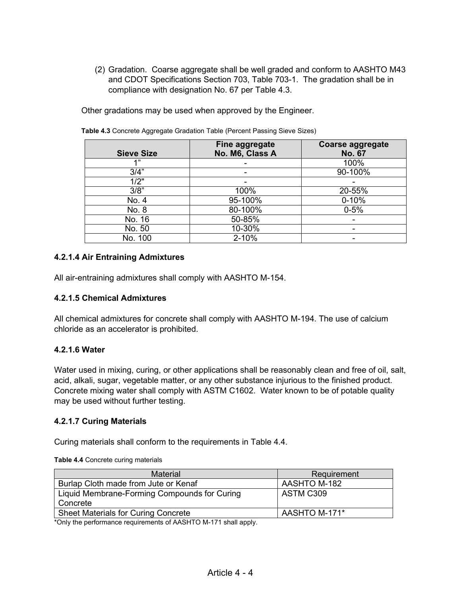(2) Gradation. Coarse aggregate shall be well graded and conform to AASHTO M43 and CDOT Specifications Section 703, Table 703-1. The gradation shall be in compliance with designation No. 67 per Table 4.3.

Other gradations may be used when approved by the Engineer.

| <b>Sieve Size</b>  | Fine aggregate<br>No. M6, Class A | <b>Coarse aggregate</b><br><b>No. 67</b> |
|--------------------|-----------------------------------|------------------------------------------|
| 4 "                |                                   | 100%                                     |
| 3/4"               |                                   | 90-100%                                  |
| $\overline{1/2}$ " |                                   |                                          |
| 3/8"               | 100%                              | 20-55%                                   |
| No. 4              | 95-100%                           | $0 - 10%$                                |
| No. 8              | 80-100%                           | $0 - 5%$                                 |
| No. 16             | 50-85%                            |                                          |
| No. 50             | 10-30%                            |                                          |
| No. 100            | $2 - 10%$                         | -                                        |

**Table 4.3** Concrete Aggregate Gradation Table (Percent Passing Sieve Sizes)

## **4.2.1.4 Air Entraining Admixtures**

All air-entraining admixtures shall comply with AASHTO M-154.

#### **4.2.1.5 Chemical Admixtures**

All chemical admixtures for concrete shall comply with AASHTO M-194. The use of calcium chloride as an accelerator is prohibited.

#### **4.2.1.6 Water**

Water used in mixing, curing, or other applications shall be reasonably clean and free of oil, salt, acid, alkali, sugar, vegetable matter, or any other substance injurious to the finished product. Concrete mixing water shall comply with ASTM C1602. Water known to be of potable quality may be used without further testing.

#### **4.2.1.7 Curing Materials**

Curing materials shall conform to the requirements in Table 4.4.

| Material                                     | Requirement   |
|----------------------------------------------|---------------|
| Burlap Cloth made from Jute or Kenaf         | AASHTO M-182  |
| Liquid Membrane-Forming Compounds for Curing | ASTM C309     |
| Concrete                                     |               |
| <b>Sheet Materials for Curing Concrete</b>   | AASHTO M-171* |

**Table 4.4** Concrete curing materials

\*Only the performance requirements of AASHTO M-171 shall apply.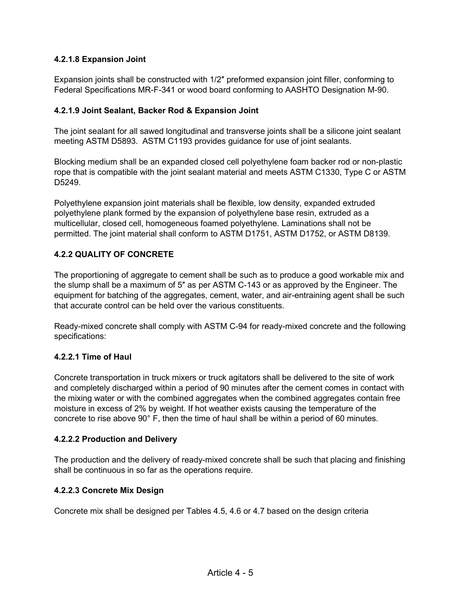## **4.2.1.8 Expansion Joint**

Expansion joints shall be constructed with 1/2″ preformed expansion joint filler, conforming to Federal Specifications MR-F-341 or wood board conforming to AASHTO Designation M-90.

## **4.2.1.9 Joint Sealant, Backer Rod & Expansion Joint**

The joint sealant for all sawed longitudinal and transverse joints shall be a silicone joint sealant meeting ASTM D5893. ASTM C1193 provides guidance for use of joint sealants.

Blocking medium shall be an expanded closed cell polyethylene foam backer rod or non-plastic rope that is compatible with the joint sealant material and meets ASTM C1330, Type C or ASTM D5249.

Polyethylene expansion joint materials shall be flexible, low density, expanded extruded polyethylene plank formed by the expansion of polyethylene base resin, extruded as a multicellular, closed cell, homogeneous foamed polyethylene. Laminations shall not be permitted. The joint material shall conform to ASTM D1751, ASTM D1752, or ASTM D8139.

## **4.2.2 QUALITY OF CONCRETE**

The proportioning of aggregate to cement shall be such as to produce a good workable mix and the slump shall be a maximum of 5″ as per ASTM C-143 or as approved by the Engineer. The equipment for batching of the aggregates, cement, water, and air-entraining agent shall be such that accurate control can be held over the various constituents.

Ready-mixed concrete shall comply with ASTM C-94 for ready-mixed concrete and the following specifications:

#### **4.2.2.1 Time of Haul**

Concrete transportation in truck mixers or truck agitators shall be delivered to the site of work and completely discharged within a period of 90 minutes after the cement comes in contact with the mixing water or with the combined aggregates when the combined aggregates contain free moisture in excess of 2% by weight. If hot weather exists causing the temperature of the concrete to rise above 90° F, then the time of haul shall be within a period of 60 minutes.

#### **4.2.2.2 Production and Delivery**

The production and the delivery of ready-mixed concrete shall be such that placing and finishing shall be continuous in so far as the operations require.

#### **4.2.2.3 Concrete Mix Design**

Concrete mix shall be designed per Tables 4.5, 4.6 or 4.7 based on the design criteria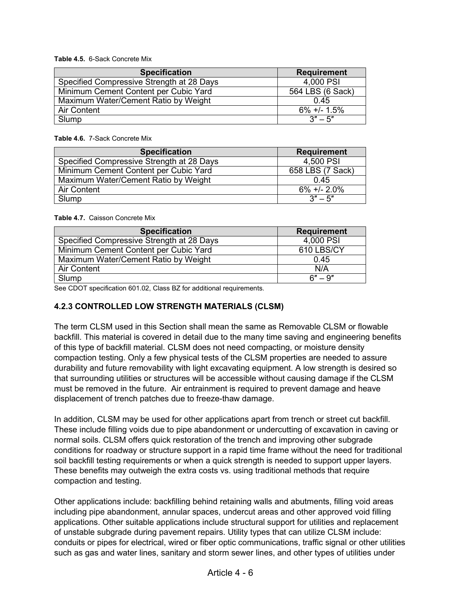**Table 4.5.** 6-Sack Concrete Mix

| <b>Specification</b>                      | <b>Requirement</b> |
|-------------------------------------------|--------------------|
| Specified Compressive Strength at 28 Days | 4,000 PSI          |
| Minimum Cement Content per Cubic Yard     | 564 LBS (6 Sack)   |
| Maximum Water/Cement Ratio by Weight      | 0.45               |
| Air Content                               | $6\% +1.5\%$       |
| Slump                                     | $3" - 5"$          |

**Table 4.6.** 7-Sack Concrete Mix

| <b>Specification</b>                      | <b>Requirement</b> |
|-------------------------------------------|--------------------|
| Specified Compressive Strength at 28 Days | 4,500 PSI          |
| Minimum Cement Content per Cubic Yard     | 658 LBS (7 Sack)   |
| Maximum Water/Cement Ratio by Weight      | 0.45               |
| <b>Air Content</b>                        | $6\% +1$ - 2.0%    |
| Slump                                     | $3'' - 5''$        |

#### **Table 4.7.** Caisson Concrete Mix

| <b>Specification</b>                      | <b>Requirement</b> |
|-------------------------------------------|--------------------|
| Specified Compressive Strength at 28 Days | 4,000 PSI          |
| Minimum Cement Content per Cubic Yard     | 610 LBS/CY         |
| Maximum Water/Cement Ratio by Weight      | 0.45               |
| <b>Air Content</b>                        | N/A                |
| Slump                                     | $6" - 9"$          |

See CDOT specification 601.02, Class BZ for additional requirements.

## **4.2.3 CONTROLLED LOW STRENGTH MATERIALS (CLSM)**

The term CLSM used in this Section shall mean the same as Removable CLSM or flowable backfill. This material is covered in detail due to the many time saving and engineering benefits of this type of backfill material. CLSM does not need compacting, or moisture density compaction testing. Only a few physical tests of the CLSM properties are needed to assure durability and future removability with light excavating equipment. A low strength is desired so that surrounding utilities or structures will be accessible without causing damage if the CLSM must be removed in the future. Air entrainment is required to prevent damage and heave displacement of trench patches due to freeze-thaw damage.

In addition, CLSM may be used for other applications apart from trench or street cut backfill. These include filling voids due to pipe abandonment or undercutting of excavation in caving or normal soils. CLSM offers quick restoration of the trench and improving other subgrade conditions for roadway or structure support in a rapid time frame without the need for traditional soil backfill testing requirements or when a quick strength is needed to support upper layers. These benefits may outweigh the extra costs vs. using traditional methods that require compaction and testing.

Other applications include: backfilling behind retaining walls and abutments, filling void areas including pipe abandonment, annular spaces, undercut areas and other approved void filling applications. Other suitable applications include structural support for utilities and replacement of unstable subgrade during pavement repairs. Utility types that can utilize CLSM include: conduits or pipes for electrical, wired or fiber optic communications, traffic signal or other utilities such as gas and water lines, sanitary and storm sewer lines, and other types of utilities under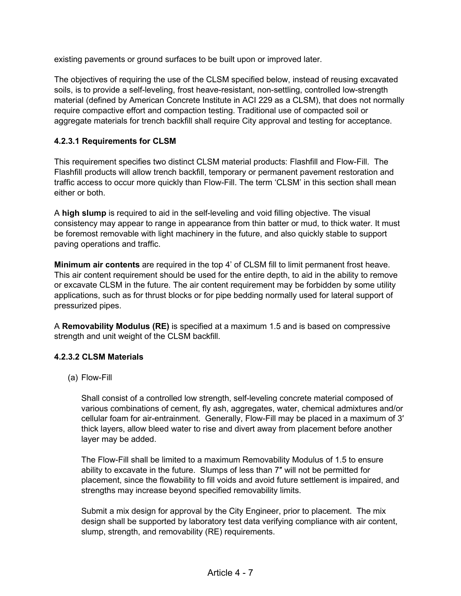existing pavements or ground surfaces to be built upon or improved later.

The objectives of requiring the use of the CLSM specified below, instead of reusing excavated soils, is to provide a self-leveling, frost heave-resistant, non-settling, controlled low-strength material (defined by American Concrete Institute in ACI 229 as a CLSM), that does not normally require compactive effort and compaction testing. Traditional use of compacted soil or aggregate materials for trench backfill shall require City approval and testing for acceptance.

## **4.2.3.1 Requirements for CLSM**

This requirement specifies two distinct CLSM material products: Flashfill and Flow-Fill. The Flashfill products will allow trench backfill, temporary or permanent pavement restoration and traffic access to occur more quickly than Flow-Fill. The term 'CLSM' in this section shall mean either or both.

A **high slump** is required to aid in the self-leveling and void filling objective. The visual consistency may appear to range in appearance from thin batter or mud, to thick water. It must be foremost removable with light machinery in the future, and also quickly stable to support paving operations and traffic.

**Minimum air contents** are required in the top 4' of CLSM fill to limit permanent frost heave. This air content requirement should be used for the entire depth, to aid in the ability to remove or excavate CLSM in the future. The air content requirement may be forbidden by some utility applications, such as for thrust blocks or for pipe bedding normally used for lateral support of pressurized pipes.

A **Removability Modulus (RE)** is specified at a maximum 1.5 and is based on compressive strength and unit weight of the CLSM backfill.

#### **4.2.3.2 CLSM Materials**

(a) Flow-Fill

Shall consist of a controlled low strength, self-leveling concrete material composed of various combinations of cement, fly ash, aggregates, water, chemical admixtures and/or cellular foam for air-entrainment. Generally, Flow-Fill may be placed in a maximum of 3′ thick layers, allow bleed water to rise and divert away from placement before another layer may be added.

The Flow-Fill shall be limited to a maximum Removability Modulus of 1.5 to ensure ability to excavate in the future. Slumps of less than 7″ will not be permitted for placement, since the flowability to fill voids and avoid future settlement is impaired, and strengths may increase beyond specified removability limits.

Submit a mix design for approval by the City Engineer, prior to placement. The mix design shall be supported by laboratory test data verifying compliance with air content, slump, strength, and removability (RE) requirements.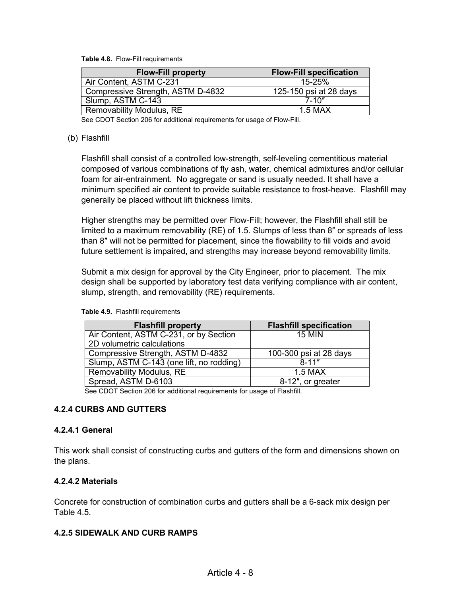**Table 4.8.** Flow-Fill requirements

| <b>Flow-Fill property</b>         | <b>Flow-Fill specification</b> |
|-----------------------------------|--------------------------------|
| Air Content, ASTM C-231           | 15-25%                         |
| Compressive Strength, ASTM D-4832 | 125-150 psi at 28 days         |
| Slump, ASTM C-143                 | $7 - 10"$                      |
| <b>Removability Modulus, RE</b>   | $1.5$ MAX                      |

See CDOT Section 206 for additional requirements for usage of Flow-Fill.

#### (b) Flashfill

Flashfill shall consist of a controlled low-strength, self-leveling cementitious material composed of various combinations of fly ash, water, chemical admixtures and/or cellular foam for air-entrainment. No aggregate or sand is usually needed. It shall have a minimum specified air content to provide suitable resistance to frost-heave. Flashfill may generally be placed without lift thickness limits.

Higher strengths may be permitted over Flow-Fill; however, the Flashfill shall still be limited to a maximum removability (RE) of 1.5. Slumps of less than 8″ or spreads of less than 8″ will not be permitted for placement, since the flowability to fill voids and avoid future settlement is impaired, and strengths may increase beyond removability limits.

Submit a mix design for approval by the City Engineer, prior to placement. The mix design shall be supported by laboratory test data verifying compliance with air content, slump, strength, and removability (RE) requirements.

| <b>Flashfill property</b>                | <b>Flashfill specification</b> |
|------------------------------------------|--------------------------------|
| Air Content, ASTM C-231, or by Section   | <b>15 MIN</b>                  |
| 2D volumetric calculations               |                                |
| Compressive Strength, ASTM D-4832        | 100-300 psi at 28 days         |
| Slump, ASTM C-143 (one lift, no rodding) | $8 - 11"$                      |
| Removability Modulus, RE                 | 1.5 MAX                        |
| Spread, ASTM D-6103                      | 8-12", or greater              |
|                                          |                                |

#### **Table 4.9.** Flashfill requirements

See CDOT Section 206 for additional requirements for usage of Flashfill.

#### **4.2.4 CURBS AND GUTTERS**

#### **4.2.4.1 General**

This work shall consist of constructing curbs and gutters of the form and dimensions shown on the plans.

#### **4.2.4.2 Materials**

Concrete for construction of combination curbs and gutters shall be a 6-sack mix design per Table 4.5.

#### **4.2.5 SIDEWALK AND CURB RAMPS**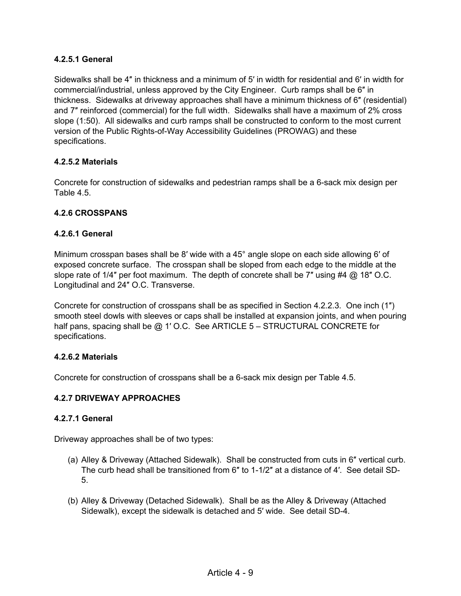## **4.2.5.1 General**

Sidewalks shall be 4″ in thickness and a minimum of 5′ in width for residential and 6′ in width for commercial/industrial, unless approved by the City Engineer. Curb ramps shall be 6″ in thickness. Sidewalks at driveway approaches shall have a minimum thickness of 6″ (residential) and 7″ reinforced (commercial) for the full width. Sidewalks shall have a maximum of 2% cross slope (1:50). All sidewalks and curb ramps shall be constructed to conform to the most current version of the Public Rights-of-Way Accessibility Guidelines (PROWAG) and these specifications.

#### **4.2.5.2 Materials**

Concrete for construction of sidewalks and pedestrian ramps shall be a 6-sack mix design per Table 4.5.

## **4.2.6 CROSSPANS**

#### **4.2.6.1 General**

Minimum crosspan bases shall be 8′ wide with a 45° angle slope on each side allowing 6′ of exposed concrete surface. The crosspan shall be sloped from each edge to the middle at the slope rate of 1/4" per foot maximum. The depth of concrete shall be 7" using #4 @ 18" O.C. Longitudinal and 24″ O.C. Transverse.

Concrete for construction of crosspans shall be as specified in Section 4.2.2.3. One inch (1″) smooth steel dowls with sleeves or caps shall be installed at expansion joints, and when pouring half pans, spacing shall be @ 1' O.C. See ARTICLE 5 – STRUCTURAL CONCRETE for specifications.

#### **4.2.6.2 Materials**

Concrete for construction of crosspans shall be a 6-sack mix design per Table 4.5.

#### **4.2.7 DRIVEWAY APPROACHES**

#### **4.2.7.1 General**

Driveway approaches shall be of two types:

- (a) Alley & Driveway (Attached Sidewalk). Shall be constructed from cuts in 6″ vertical curb. The curb head shall be transitioned from 6″ to 1-1/2″ at a distance of 4′. See detail SD-5.
- (b) Alley & Driveway (Detached Sidewalk). Shall be as the Alley & Driveway (Attached Sidewalk), except the sidewalk is detached and 5′ wide. See detail SD-4.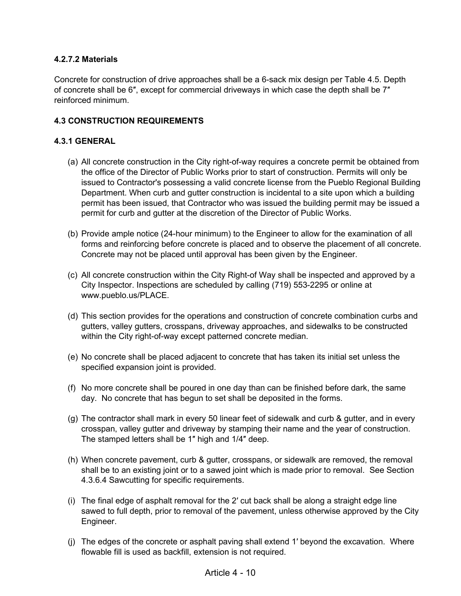## **4.2.7.2 Materials**

Concrete for construction of drive approaches shall be a 6-sack mix design per Table 4.5. Depth of concrete shall be 6″, except for commercial driveways in which case the depth shall be 7″ reinforced minimum.

## **4.3 CONSTRUCTION REQUIREMENTS**

#### **4.3.1 GENERAL**

- (a) All concrete construction in the City right-of-way requires a concrete permit be obtained from the office of the Director of Public Works prior to start of construction. Permits will only be issued to Contractor's possessing a valid concrete license from the Pueblo Regional Building Department. When curb and gutter construction is incidental to a site upon which a building permit has been issued, that Contractor who was issued the building permit may be issued a permit for curb and gutter at the discretion of the Director of Public Works.
- (b) Provide ample notice (24-hour minimum) to the Engineer to allow for the examination of all forms and reinforcing before concrete is placed and to observe the placement of all concrete. Concrete may not be placed until approval has been given by the Engineer.
- (c) All concrete construction within the City Right-of Way shall be inspected and approved by a City Inspector. Inspections are scheduled by calling (719) 553-2295 or online at www.pueblo.us/PLACE.
- (d) This section provides for the operations and construction of concrete combination curbs and gutters, valley gutters, crosspans, driveway approaches, and sidewalks to be constructed within the City right-of-way except patterned concrete median.
- (e) No concrete shall be placed adjacent to concrete that has taken its initial set unless the specified expansion joint is provided.
- (f) No more concrete shall be poured in one day than can be finished before dark, the same day. No concrete that has begun to set shall be deposited in the forms.
- (g) The contractor shall mark in every 50 linear feet of sidewalk and curb & gutter, and in every crosspan, valley gutter and driveway by stamping their name and the year of construction. The stamped letters shall be 1″ high and 1/4″ deep.
- (h) When concrete pavement, curb & gutter, crosspans, or sidewalk are removed, the removal shall be to an existing joint or to a sawed joint which is made prior to removal. See Section 4.3.6.4 Sawcutting for specific requirements.
- (i) The final edge of asphalt removal for the 2′ cut back shall be along a straight edge line sawed to full depth, prior to removal of the pavement, unless otherwise approved by the City Engineer.
- (j) The edges of the concrete or asphalt paving shall extend 1′ beyond the excavation. Where flowable fill is used as backfill, extension is not required.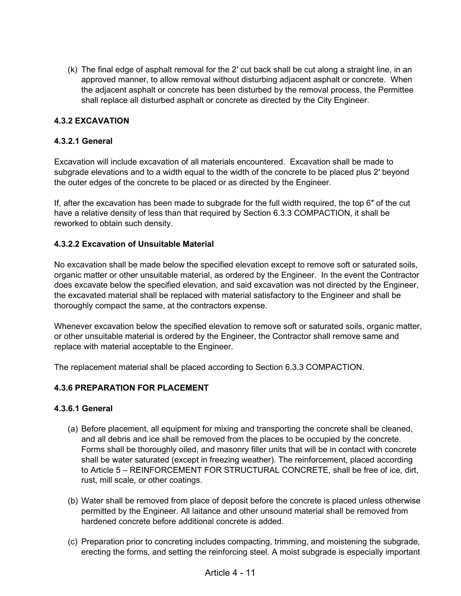(k) The final edge of asphalt removal for the 2′ cut back shall be cut along a straight line, in an approved manner, to allow removal without disturbing adjacent asphalt or concrete. When the adjacent asphalt or concrete has been disturbed by the removal process, the Permittee shall replace all disturbed asphalt or concrete as directed by the City Engineer.

## **4.3.2 EXCAVATION**

## **4.3.2.1 General**

Excavation will include excavation of all materials encountered. Excavation shall be made to subgrade elevations and to a width equal to the width of the concrete to be placed plus 2′ beyond the outer edges of the concrete to be placed or as directed by the Engineer.

If, after the excavation has been made to subgrade for the full width required, the top 6″ of the cut have a relative density of less than that required by Section 6.3.3 COMPACTION, it shall be reworked to obtain such density.

## **4.3.2.2 Excavation of Unsuitable Material**

No excavation shall be made below the specified elevation except to remove soft or saturated soils, organic matter or other unsuitable material, as ordered by the Engineer. In the event the Contractor does excavate below the specified elevation, and said excavation was not directed by the Engineer, the excavated material shall be replaced with material satisfactory to the Engineer and shall be thoroughly compact the same, at the contractors expense.

Whenever excavation below the specified elevation to remove soft or saturated soils, organic matter, or other unsuitable material is ordered by the Engineer, the Contractor shall remove same and replace with material acceptable to the Engineer.

The replacement material shall be placed according to Section 6.3.3 COMPACTION.

#### **4.3.6 PREPARATION FOR PLACEMENT**

#### **4.3.6.1 General**

- (a) Before placement, all equipment for mixing and transporting the concrete shall be cleaned, and all debris and ice shall be removed from the places to be occupied by the concrete. Forms shall be thoroughly oiled, and masonry filler units that will be in contact with concrete shall be water saturated (except in freezing weather). The reinforcement, placed according to Article 5 – REINFORCEMENT FOR STRUCTURAL CONCRETE, shall be free of ice, dirt, rust, mill scale, or other coatings.
- (b) Water shall be removed from place of deposit before the concrete is placed unless otherwise permitted by the Engineer. All laitance and other unsound material shall be removed from hardened concrete before additional concrete is added.
- (c) Preparation prior to concreting includes compacting, trimming, and moistening the subgrade, erecting the forms, and setting the reinforcing steel. A moist subgrade is especially important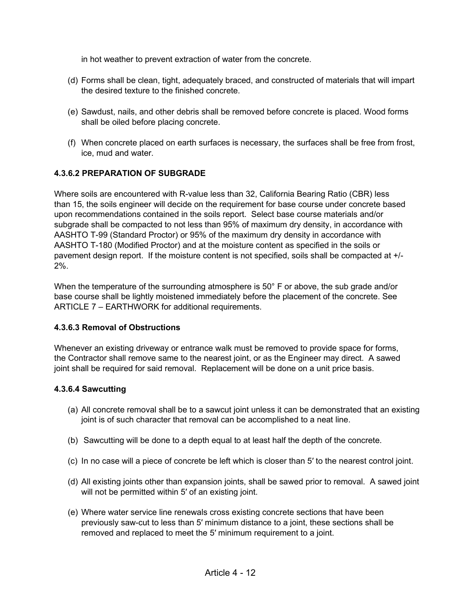in hot weather to prevent extraction of water from the concrete.

- (d) Forms shall be clean, tight, adequately braced, and constructed of materials that will impart the desired texture to the finished concrete.
- (e) Sawdust, nails, and other debris shall be removed before concrete is placed. Wood forms shall be oiled before placing concrete.
- (f) When concrete placed on earth surfaces is necessary, the surfaces shall be free from frost, ice, mud and water.

## **4.3.6.2 PREPARATION OF SUBGRADE**

Where soils are encountered with R-value less than 32, California Bearing Ratio (CBR) less than 15, the soils engineer will decide on the requirement for base course under concrete based upon recommendations contained in the soils report. Select base course materials and/or subgrade shall be compacted to not less than 95% of maximum dry density, in accordance with AASHTO T-99 (Standard Proctor) or 95% of the maximum dry density in accordance with AASHTO T-180 (Modified Proctor) and at the moisture content as specified in the soils or pavement design report. If the moisture content is not specified, soils shall be compacted at +/- 2%.

When the temperature of the surrounding atmosphere is 50° F or above, the sub grade and/or base course shall be lightly moistened immediately before the placement of the concrete. See ARTICLE 7 – EARTHWORK for additional requirements.

#### **4.3.6.3 Removal of Obstructions**

Whenever an existing driveway or entrance walk must be removed to provide space for forms, the Contractor shall remove same to the nearest joint, or as the Engineer may direct. A sawed joint shall be required for said removal. Replacement will be done on a unit price basis.

#### **4.3.6.4 Sawcutting**

- (a) All concrete removal shall be to a sawcut joint unless it can be demonstrated that an existing joint is of such character that removal can be accomplished to a neat line.
- (b) Sawcutting will be done to a depth equal to at least half the depth of the concrete.
- (c) In no case will a piece of concrete be left which is closer than 5′ to the nearest control joint.
- (d) All existing joints other than expansion joints, shall be sawed prior to removal. A sawed joint will not be permitted within 5' of an existing joint.
- (e) Where water service line renewals cross existing concrete sections that have been previously saw-cut to less than 5′ minimum distance to a joint, these sections shall be removed and replaced to meet the 5′ minimum requirement to a joint.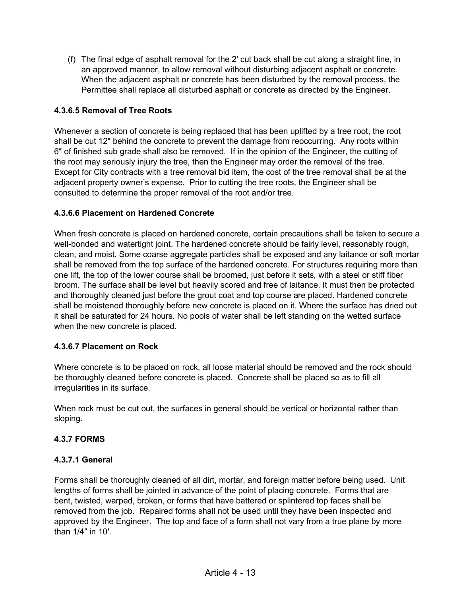(f) The final edge of asphalt removal for the 2′ cut back shall be cut along a straight line, in an approved manner, to allow removal without disturbing adjacent asphalt or concrete. When the adjacent asphalt or concrete has been disturbed by the removal process, the Permittee shall replace all disturbed asphalt or concrete as directed by the Engineer.

## **4.3.6.5 Removal of Tree Roots**

Whenever a section of concrete is being replaced that has been uplifted by a tree root, the root shall be cut 12″ behind the concrete to prevent the damage from reoccurring. Any roots within 6″ of finished sub grade shall also be removed. If in the opinion of the Engineer, the cutting of the root may seriously injury the tree, then the Engineer may order the removal of the tree. Except for City contracts with a tree removal bid item, the cost of the tree removal shall be at the adjacent property owner's expense. Prior to cutting the tree roots, the Engineer shall be consulted to determine the proper removal of the root and/or tree.

## **4.3.6.6 Placement on Hardened Concrete**

When fresh concrete is placed on hardened concrete, certain precautions shall be taken to secure a well-bonded and watertight joint. The hardened concrete should be fairly level, reasonably rough, clean, and moist. Some coarse aggregate particles shall be exposed and any laitance or soft mortar shall be removed from the top surface of the hardened concrete. For structures requiring more than one lift, the top of the lower course shall be broomed, just before it sets, with a steel or stiff fiber broom. The surface shall be level but heavily scored and free of laitance. It must then be protected and thoroughly cleaned just before the grout coat and top course are placed. Hardened concrete shall be moistened thoroughly before new concrete is placed on it. Where the surface has dried out it shall be saturated for 24 hours. No pools of water shall be left standing on the wetted surface when the new concrete is placed.

## **4.3.6.7 Placement on Rock**

Where concrete is to be placed on rock, all loose material should be removed and the rock should be thoroughly cleaned before concrete is placed. Concrete shall be placed so as to fill all irregularities in its surface.

When rock must be cut out, the surfaces in general should be vertical or horizontal rather than sloping.

## **4.3.7 FORMS**

## **4.3.7.1 General**

Forms shall be thoroughly cleaned of all dirt, mortar, and foreign matter before being used. Unit lengths of forms shall be jointed in advance of the point of placing concrete. Forms that are bent, twisted, warped, broken, or forms that have battered or splintered top faces shall be removed from the job. Repaired forms shall not be used until they have been inspected and approved by the Engineer. The top and face of a form shall not vary from a true plane by more than 1/4″ in 10′.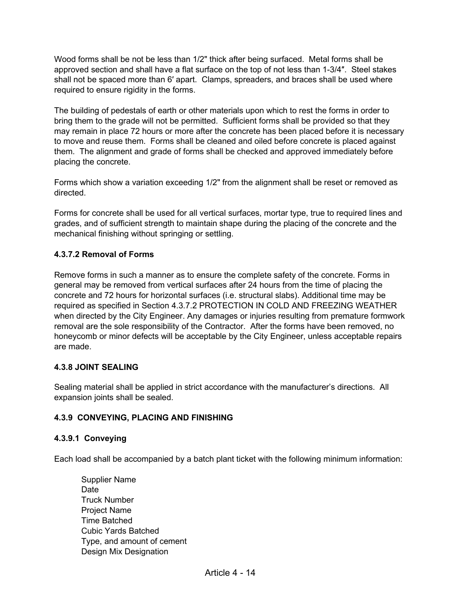Wood forms shall be not be less than 1/2" thick after being surfaced. Metal forms shall be approved section and shall have a flat surface on the top of not less than 1-3/4″. Steel stakes shall not be spaced more than 6′ apart. Clamps, spreaders, and braces shall be used where required to ensure rigidity in the forms.

The building of pedestals of earth or other materials upon which to rest the forms in order to bring them to the grade will not be permitted. Sufficient forms shall be provided so that they may remain in place 72 hours or more after the concrete has been placed before it is necessary to move and reuse them. Forms shall be cleaned and oiled before concrete is placed against them. The alignment and grade of forms shall be checked and approved immediately before placing the concrete.

Forms which show a variation exceeding 1/2" from the alignment shall be reset or removed as directed.

Forms for concrete shall be used for all vertical surfaces, mortar type, true to required lines and grades, and of sufficient strength to maintain shape during the placing of the concrete and the mechanical finishing without springing or settling.

## **4.3.7.2 Removal of Forms**

Remove forms in such a manner as to ensure the complete safety of the concrete. Forms in general may be removed from vertical surfaces after 24 hours from the time of placing the concrete and 72 hours for horizontal surfaces (i.e. structural slabs). Additional time may be required as specified in Section 4.3.7.2 PROTECTION IN COLD AND FREEZING WEATHER when directed by the City Engineer. Any damages or injuries resulting from premature formwork removal are the sole responsibility of the Contractor. After the forms have been removed, no honeycomb or minor defects will be acceptable by the City Engineer, unless acceptable repairs are made.

## **4.3.8 JOINT SEALING**

Sealing material shall be applied in strict accordance with the manufacturer's directions. All expansion joints shall be sealed.

## **4.3.9 CONVEYING, PLACING AND FINISHING**

#### **4.3.9.1 Conveying**

Each load shall be accompanied by a batch plant ticket with the following minimum information:

Supplier Name Date Truck Number Project Name Time Batched Cubic Yards Batched Type, and amount of cement Design Mix Designation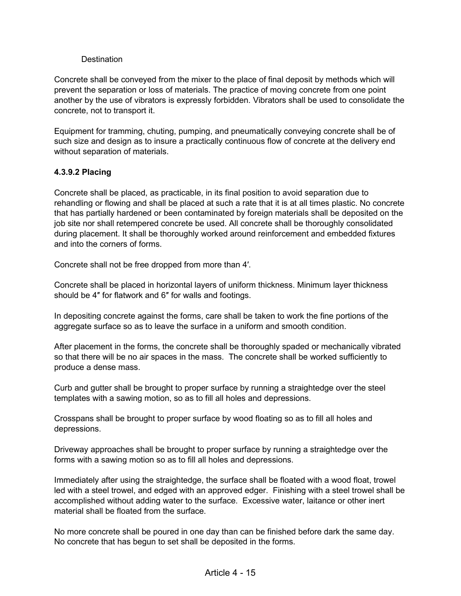#### **Destination**

Concrete shall be conveyed from the mixer to the place of final deposit by methods which will prevent the separation or loss of materials. The practice of moving concrete from one point another by the use of vibrators is expressly forbidden. Vibrators shall be used to consolidate the concrete, not to transport it.

Equipment for tramming, chuting, pumping, and pneumatically conveying concrete shall be of such size and design as to insure a practically continuous flow of concrete at the delivery end without separation of materials.

## **4.3.9.2 Placing**

Concrete shall be placed, as practicable, in its final position to avoid separation due to rehandling or flowing and shall be placed at such a rate that it is at all times plastic. No concrete that has partially hardened or been contaminated by foreign materials shall be deposited on the job site nor shall retempered concrete be used. All concrete shall be thoroughly consolidated during placement. It shall be thoroughly worked around reinforcement and embedded fixtures and into the corners of forms.

Concrete shall not be free dropped from more than 4′.

Concrete shall be placed in horizontal layers of uniform thickness. Minimum layer thickness should be 4″ for flatwork and 6″ for walls and footings.

In depositing concrete against the forms, care shall be taken to work the fine portions of the aggregate surface so as to leave the surface in a uniform and smooth condition.

After placement in the forms, the concrete shall be thoroughly spaded or mechanically vibrated so that there will be no air spaces in the mass. The concrete shall be worked sufficiently to produce a dense mass.

Curb and gutter shall be brought to proper surface by running a straightedge over the steel templates with a sawing motion, so as to fill all holes and depressions.

Crosspans shall be brought to proper surface by wood floating so as to fill all holes and depressions.

Driveway approaches shall be brought to proper surface by running a straightedge over the forms with a sawing motion so as to fill all holes and depressions.

Immediately after using the straightedge, the surface shall be floated with a wood float, trowel led with a steel trowel, and edged with an approved edger. Finishing with a steel trowel shall be accomplished without adding water to the surface. Excessive water, laitance or other inert material shall be floated from the surface.

No more concrete shall be poured in one day than can be finished before dark the same day. No concrete that has begun to set shall be deposited in the forms.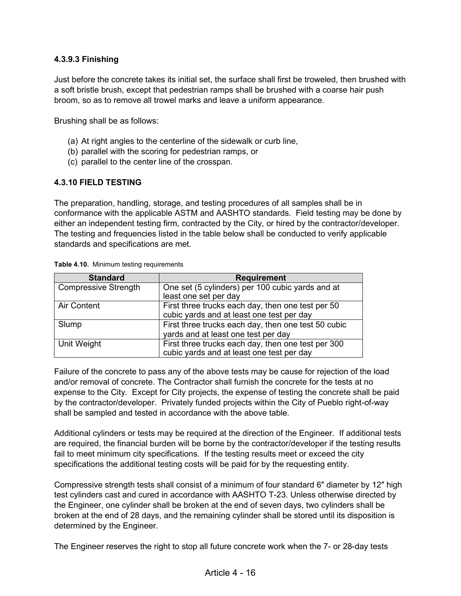## **4.3.9.3 Finishing**

Just before the concrete takes its initial set, the surface shall first be troweled, then brushed with a soft bristle brush, except that pedestrian ramps shall be brushed with a coarse hair push broom, so as to remove all trowel marks and leave a uniform appearance.

Brushing shall be as follows:

- (a) At right angles to the centerline of the sidewalk or curb line,
- (b) parallel with the scoring for pedestrian ramps, or
- (c) parallel to the center line of the crosspan.

#### **4.3.10 FIELD TESTING**

The preparation, handling, storage, and testing procedures of all samples shall be in conformance with the applicable ASTM and AASHTO standards. Field testing may be done by either an independent testing firm, contracted by the City, or hired by the contractor/developer. The testing and frequencies listed in the table below shall be conducted to verify applicable standards and specifications are met.

| <b>Standard</b>             | <b>Requirement</b>                                  |  |
|-----------------------------|-----------------------------------------------------|--|
| <b>Compressive Strength</b> | One set (5 cylinders) per 100 cubic yards and at    |  |
|                             | least one set per day                               |  |
| <b>Air Content</b>          | First three trucks each day, then one test per 50   |  |
|                             | cubic yards and at least one test per day           |  |
| Slump                       | First three trucks each day, then one test 50 cubic |  |
|                             | yards and at least one test per day                 |  |
| Unit Weight                 | First three trucks each day, then one test per 300  |  |
|                             | cubic yards and at least one test per day           |  |

**Table 4.10.** Minimum testing requirements

Failure of the concrete to pass any of the above tests may be cause for rejection of the load and/or removal of concrete. The Contractor shall furnish the concrete for the tests at no expense to the City. Except for City projects, the expense of testing the concrete shall be paid by the contractor/developer. Privately funded projects within the City of Pueblo right-of-way shall be sampled and tested in accordance with the above table.

Additional cylinders or tests may be required at the direction of the Engineer. If additional tests are required, the financial burden will be borne by the contractor/developer if the testing results fail to meet minimum city specifications. If the testing results meet or exceed the city specifications the additional testing costs will be paid for by the requesting entity.

Compressive strength tests shall consist of a minimum of four standard 6″ diameter by 12″ high test cylinders cast and cured in accordance with AASHTO T-23. Unless otherwise directed by the Engineer, one cylinder shall be broken at the end of seven days, two cylinders shall be broken at the end of 28 days, and the remaining cylinder shall be stored until its disposition is determined by the Engineer.

The Engineer reserves the right to stop all future concrete work when the 7- or 28-day tests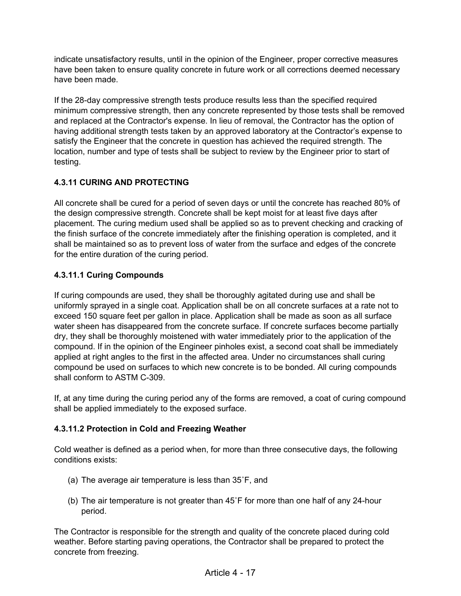indicate unsatisfactory results, until in the opinion of the Engineer, proper corrective measures have been taken to ensure quality concrete in future work or all corrections deemed necessary have been made.

If the 28-day compressive strength tests produce results less than the specified required minimum compressive strength, then any concrete represented by those tests shall be removed and replaced at the Contractor's expense. In lieu of removal, the Contractor has the option of having additional strength tests taken by an approved laboratory at the Contractor's expense to satisfy the Engineer that the concrete in question has achieved the required strength. The location, number and type of tests shall be subject to review by the Engineer prior to start of testing.

# **4.3.11 CURING AND PROTECTING**

All concrete shall be cured for a period of seven days or until the concrete has reached 80% of the design compressive strength. Concrete shall be kept moist for at least five days after placement. The curing medium used shall be applied so as to prevent checking and cracking of the finish surface of the concrete immediately after the finishing operation is completed, and it shall be maintained so as to prevent loss of water from the surface and edges of the concrete for the entire duration of the curing period.

# **4.3.11.1 Curing Compounds**

If curing compounds are used, they shall be thoroughly agitated during use and shall be uniformly sprayed in a single coat. Application shall be on all concrete surfaces at a rate not to exceed 150 square feet per gallon in place. Application shall be made as soon as all surface water sheen has disappeared from the concrete surface. If concrete surfaces become partially dry, they shall be thoroughly moistened with water immediately prior to the application of the compound. If in the opinion of the Engineer pinholes exist, a second coat shall be immediately applied at right angles to the first in the affected area. Under no circumstances shall curing compound be used on surfaces to which new concrete is to be bonded. All curing compounds shall conform to ASTM C-309.

If, at any time during the curing period any of the forms are removed, a coat of curing compound shall be applied immediately to the exposed surface.

# **4.3.11.2 Protection in Cold and Freezing Weather**

Cold weather is defined as a period when, for more than three consecutive days, the following conditions exists:

- (a) The average air temperature is less than 35˚F, and
- (b) The air temperature is not greater than 45˚F for more than one half of any 24-hour period.

The Contractor is responsible for the strength and quality of the concrete placed during cold weather. Before starting paving operations, the Contractor shall be prepared to protect the concrete from freezing.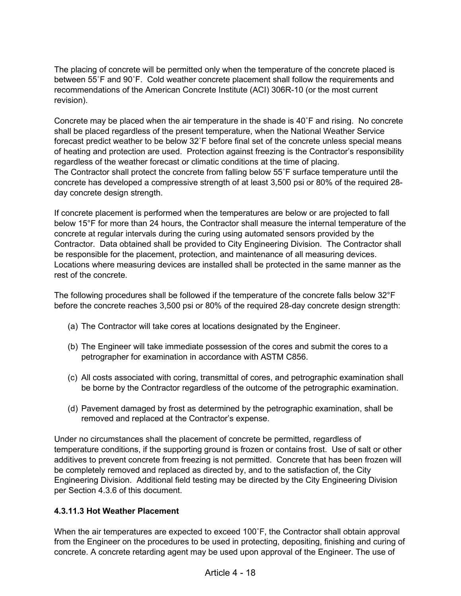The placing of concrete will be permitted only when the temperature of the concrete placed is between 55˚F and 90˚F. Cold weather concrete placement shall follow the requirements and recommendations of the American Concrete Institute (ACI) 306R-10 (or the most current revision).

Concrete may be placed when the air temperature in the shade is 40˚F and rising. No concrete shall be placed regardless of the present temperature, when the National Weather Service forecast predict weather to be below 32˚F before final set of the concrete unless special means of heating and protection are used. Protection against freezing is the Contractor's responsibility regardless of the weather forecast or climatic conditions at the time of placing. The Contractor shall protect the concrete from falling below 55˚F surface temperature until the concrete has developed a compressive strength of at least 3,500 psi or 80% of the required 28 day concrete design strength.

If concrete placement is performed when the temperatures are below or are projected to fall below 15°F for more than 24 hours, the Contractor shall measure the internal temperature of the concrete at regular intervals during the curing using automated sensors provided by the Contractor. Data obtained shall be provided to City Engineering Division. The Contractor shall be responsible for the placement, protection, and maintenance of all measuring devices. Locations where measuring devices are installed shall be protected in the same manner as the rest of the concrete.

The following procedures shall be followed if the temperature of the concrete falls below 32°F before the concrete reaches 3,500 psi or 80% of the required 28-day concrete design strength:

- (a) The Contractor will take cores at locations designated by the Engineer.
- (b) The Engineer will take immediate possession of the cores and submit the cores to a petrographer for examination in accordance with ASTM C856.
- (c) All costs associated with coring, transmittal of cores, and petrographic examination shall be borne by the Contractor regardless of the outcome of the petrographic examination.
- (d) Pavement damaged by frost as determined by the petrographic examination, shall be removed and replaced at the Contractor's expense.

Under no circumstances shall the placement of concrete be permitted, regardless of temperature conditions, if the supporting ground is frozen or contains frost. Use of salt or other additives to prevent concrete from freezing is not permitted. Concrete that has been frozen will be completely removed and replaced as directed by, and to the satisfaction of, the City Engineering Division. Additional field testing may be directed by the City Engineering Division per Section 4.3.6 of this document.

## **4.3.11.3 Hot Weather Placement**

When the air temperatures are expected to exceed 100°F, the Contractor shall obtain approval from the Engineer on the procedures to be used in protecting, depositing, finishing and curing of concrete. A concrete retarding agent may be used upon approval of the Engineer. The use of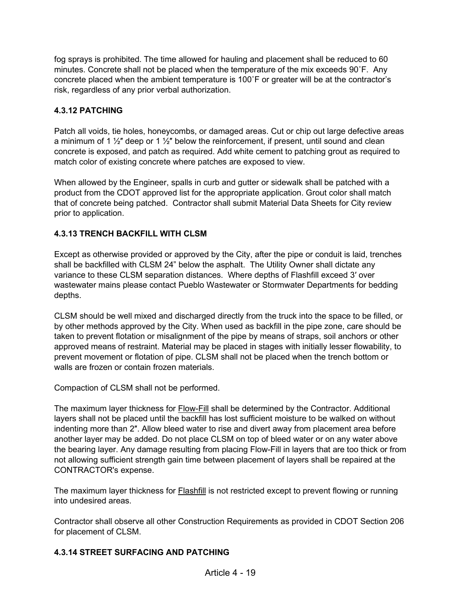fog sprays is prohibited. The time allowed for hauling and placement shall be reduced to 60 minutes. Concrete shall not be placed when the temperature of the mix exceeds 90˚F. Any concrete placed when the ambient temperature is 100˚F or greater will be at the contractor's risk, regardless of any prior verbal authorization.

# **4.3.12 PATCHING**

Patch all voids, tie holes, honeycombs, or damaged areas. Cut or chip out large defective areas a minimum of 1  $\frac{1}{2}$ " deep or 1  $\frac{1}{2}$ " below the reinforcement, if present, until sound and clean concrete is exposed, and patch as required. Add white cement to patching grout as required to match color of existing concrete where patches are exposed to view.

When allowed by the Engineer, spalls in curb and gutter or sidewalk shall be patched with a product from the CDOT approved list for the appropriate application. Grout color shall match that of concrete being patched. Contractor shall submit Material Data Sheets for City review prior to application.

## **4.3.13 TRENCH BACKFILL WITH CLSM**

Except as otherwise provided or approved by the City, after the pipe or conduit is laid, trenches shall be backfilled with CLSM 24" below the asphalt. The Utility Owner shall dictate any variance to these CLSM separation distances. Where depths of Flashfill exceed 3′ over wastewater mains please contact Pueblo Wastewater or Stormwater Departments for bedding depths.

CLSM should be well mixed and discharged directly from the truck into the space to be filled, or by other methods approved by the City. When used as backfill in the pipe zone, care should be taken to prevent flotation or misalignment of the pipe by means of straps, soil anchors or other approved means of restraint. Material may be placed in stages with initially lesser flowability, to prevent movement or flotation of pipe. CLSM shall not be placed when the trench bottom or walls are frozen or contain frozen materials.

Compaction of CLSM shall not be performed.

The maximum layer thickness for Flow-Fill shall be determined by the Contractor. Additional layers shall not be placed until the backfill has lost sufficient moisture to be walked on without indenting more than 2″. Allow bleed water to rise and divert away from placement area before another layer may be added. Do not place CLSM on top of bleed water or on any water above the bearing layer. Any damage resulting from placing Flow-Fill in layers that are too thick or from not allowing sufficient strength gain time between placement of layers shall be repaired at the CONTRACTOR's expense.

The maximum layer thickness for Flashfill is not restricted except to prevent flowing or running into undesired areas.

Contractor shall observe all other Construction Requirements as provided in CDOT Section 206 for placement of CLSM.

## **4.3.14 STREET SURFACING AND PATCHING**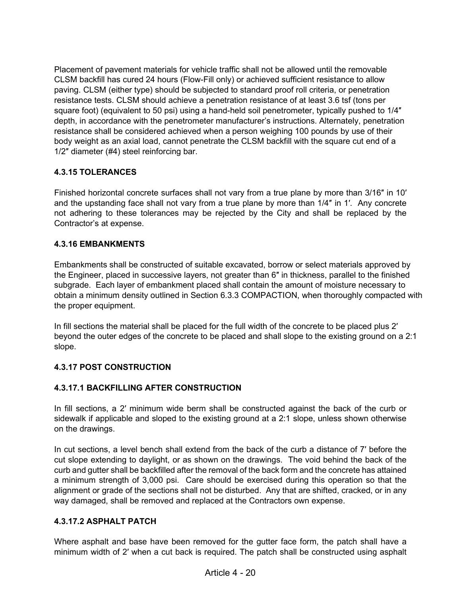Placement of pavement materials for vehicle traffic shall not be allowed until the removable CLSM backfill has cured 24 hours (Flow-Fill only) or achieved sufficient resistance to allow paving. CLSM (either type) should be subjected to standard proof roll criteria, or penetration resistance tests. CLSM should achieve a penetration resistance of at least 3.6 tsf (tons per square foot) (equivalent to 50 psi) using a hand-held soil penetrometer, typically pushed to 1/4" depth, in accordance with the penetrometer manufacturer's instructions. Alternately, penetration resistance shall be considered achieved when a person weighing 100 pounds by use of their body weight as an axial load, cannot penetrate the CLSM backfill with the square cut end of a 1/2″ diameter (#4) steel reinforcing bar.

## **4.3.15 TOLERANCES**

Finished horizontal concrete surfaces shall not vary from a true plane by more than 3/16″ in 10′ and the upstanding face shall not vary from a true plane by more than 1/4″ in 1′. Any concrete not adhering to these tolerances may be rejected by the City and shall be replaced by the Contractor's at expense.

## **4.3.16 EMBANKMENTS**

Embankments shall be constructed of suitable excavated, borrow or select materials approved by the Engineer, placed in successive layers, not greater than 6″ in thickness, parallel to the finished subgrade. Each layer of embankment placed shall contain the amount of moisture necessary to obtain a minimum density outlined in Section 6.3.3 COMPACTION, when thoroughly compacted with the proper equipment.

In fill sections the material shall be placed for the full width of the concrete to be placed plus 2' beyond the outer edges of the concrete to be placed and shall slope to the existing ground on a 2:1 slope.

## **4.3.17 POST CONSTRUCTION**

## **4.3.17.1 BACKFILLING AFTER CONSTRUCTION**

In fill sections, a 2′ minimum wide berm shall be constructed against the back of the curb or sidewalk if applicable and sloped to the existing ground at a 2:1 slope, unless shown otherwise on the drawings.

In cut sections, a level bench shall extend from the back of the curb a distance of 7′ before the cut slope extending to daylight, or as shown on the drawings. The void behind the back of the curb and gutter shall be backfilled after the removal of the back form and the concrete has attained a minimum strength of 3,000 psi. Care should be exercised during this operation so that the alignment or grade of the sections shall not be disturbed. Any that are shifted, cracked, or in any way damaged, shall be removed and replaced at the Contractors own expense.

## **4.3.17.2 ASPHALT PATCH**

Where asphalt and base have been removed for the gutter face form, the patch shall have a minimum width of 2′ when a cut back is required. The patch shall be constructed using asphalt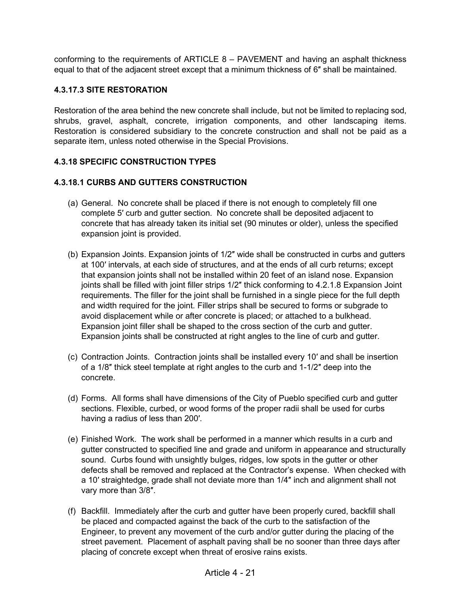conforming to the requirements of ARTICLE 8 – PAVEMENT and having an asphalt thickness equal to that of the adjacent street except that a minimum thickness of 6″ shall be maintained.

## **4.3.17.3 SITE RESTORATION**

Restoration of the area behind the new concrete shall include, but not be limited to replacing sod, shrubs, gravel, asphalt, concrete, irrigation components, and other landscaping items. Restoration is considered subsidiary to the concrete construction and shall not be paid as a separate item, unless noted otherwise in the Special Provisions.

## **4.3.18 SPECIFIC CONSTRUCTION TYPES**

## **4.3.18.1 CURBS AND GUTTERS CONSTRUCTION**

- (a) General. No concrete shall be placed if there is not enough to completely fill one complete 5′ curb and gutter section. No concrete shall be deposited adjacent to concrete that has already taken its initial set (90 minutes or older), unless the specified expansion joint is provided.
- (b) Expansion Joints. Expansion joints of 1/2″ wide shall be constructed in curbs and gutters at 100′ intervals, at each side of structures, and at the ends of all curb returns; except that expansion joints shall not be installed within 20 feet of an island nose. Expansion joints shall be filled with joint filler strips 1/2″ thick conforming to 4.2.1.8 Expansion Joint requirements. The filler for the joint shall be furnished in a single piece for the full depth and width required for the joint. Filler strips shall be secured to forms or subgrade to avoid displacement while or after concrete is placed; or attached to a bulkhead. Expansion joint filler shall be shaped to the cross section of the curb and gutter. Expansion joints shall be constructed at right angles to the line of curb and gutter.
- (c) Contraction Joints. Contraction joints shall be installed every 10′ and shall be insertion of a 1/8″ thick steel template at right angles to the curb and 1-1/2″ deep into the concrete.
- (d) Forms. All forms shall have dimensions of the City of Pueblo specified curb and gutter sections. Flexible, curbed, or wood forms of the proper radii shall be used for curbs having a radius of less than 200′.
- (e) Finished Work. The work shall be performed in a manner which results in a curb and gutter constructed to specified line and grade and uniform in appearance and structurally sound. Curbs found with unsightly bulges, ridges, low spots in the gutter or other defects shall be removed and replaced at the Contractor's expense. When checked with a 10′ straightedge, grade shall not deviate more than 1/4″ inch and alignment shall not vary more than 3/8″.
- (f) Backfill. Immediately after the curb and gutter have been properly cured, backfill shall be placed and compacted against the back of the curb to the satisfaction of the Engineer, to prevent any movement of the curb and/or gutter during the placing of the street pavement. Placement of asphalt paving shall be no sooner than three days after placing of concrete except when threat of erosive rains exists.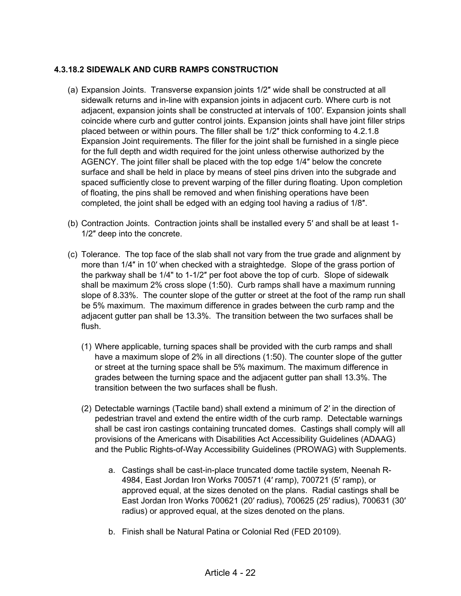## **4.3.18.2 SIDEWALK AND CURB RAMPS CONSTRUCTION**

- (a) Expansion Joints. Transverse expansion joints 1/2″ wide shall be constructed at all sidewalk returns and in-line with expansion joints in adjacent curb. Where curb is not adjacent, expansion joints shall be constructed at intervals of 100′. Expansion joints shall coincide where curb and gutter control joints. Expansion joints shall have joint filler strips placed between or within pours. The filler shall be 1/2″ thick conforming to 4.2.1.8 Expansion Joint requirements. The filler for the joint shall be furnished in a single piece for the full depth and width required for the joint unless otherwise authorized by the AGENCY. The joint filler shall be placed with the top edge 1/4″ below the concrete surface and shall be held in place by means of steel pins driven into the subgrade and spaced sufficiently close to prevent warping of the filler during floating. Upon completion of floating, the pins shall be removed and when finishing operations have been completed, the joint shall be edged with an edging tool having a radius of 1/8″.
- (b) Contraction Joints. Contraction joints shall be installed every 5′ and shall be at least 1- 1/2″ deep into the concrete.
- (c) Tolerance. The top face of the slab shall not vary from the true grade and alignment by more than 1/4″ in 10′ when checked with a straightedge. Slope of the grass portion of the parkway shall be 1/4" to 1-1/2″ per foot above the top of curb. Slope of sidewalk shall be maximum 2% cross slope (1:50). Curb ramps shall have a maximum running slope of 8.33%. The counter slope of the gutter or street at the foot of the ramp run shall be 5% maximum. The maximum difference in grades between the curb ramp and the adjacent gutter pan shall be 13.3%. The transition between the two surfaces shall be flush.
	- (1) Where applicable, turning spaces shall be provided with the curb ramps and shall have a maximum slope of 2% in all directions (1:50). The counter slope of the gutter or street at the turning space shall be 5% maximum. The maximum difference in grades between the turning space and the adjacent gutter pan shall 13.3%. The transition between the two surfaces shall be flush.
	- (2) Detectable warnings (Tactile band) shall extend a minimum of 2′ in the direction of pedestrian travel and extend the entire width of the curb ramp. Detectable warnings shall be cast iron castings containing truncated domes. Castings shall comply will all provisions of the Americans with Disabilities Act Accessibility Guidelines (ADAAG) and the Public Rights-of-Way Accessibility Guidelines (PROWAG) with Supplements.
		- a. Castings shall be cast-in-place truncated dome tactile system, Neenah R-4984, East Jordan Iron Works 700571 (4′ ramp), 700721 (5′ ramp), or approved equal, at the sizes denoted on the plans. Radial castings shall be East Jordan Iron Works 700621 (20′ radius), 700625 (25′ radius), 700631 (30′ radius) or approved equal, at the sizes denoted on the plans.
		- b. Finish shall be Natural Patina or Colonial Red (FED 20109).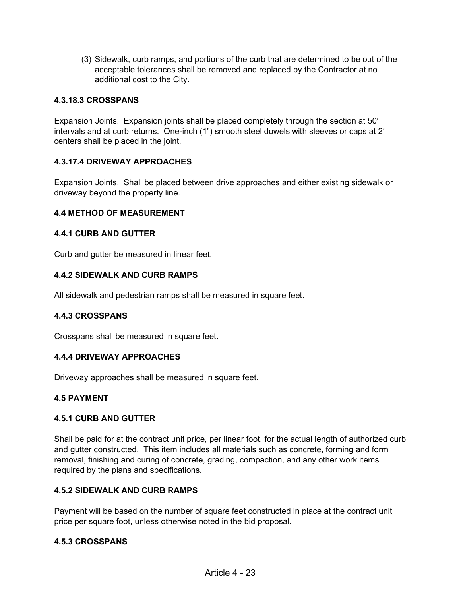(3) Sidewalk, curb ramps, and portions of the curb that are determined to be out of the acceptable tolerances shall be removed and replaced by the Contractor at no additional cost to the City.

## **4.3.18.3 CROSSPANS**

Expansion Joints. Expansion joints shall be placed completely through the section at 50′ intervals and at curb returns. One-inch (1") smooth steel dowels with sleeves or caps at 2′ centers shall be placed in the joint.

## **4.3.17.4 DRIVEWAY APPROACHES**

Expansion Joints. Shall be placed between drive approaches and either existing sidewalk or driveway beyond the property line.

#### **4.4 METHOD OF MEASUREMENT**

## **4.4.1 CURB AND GUTTER**

Curb and gutter be measured in linear feet.

## **4.4.2 SIDEWALK AND CURB RAMPS**

All sidewalk and pedestrian ramps shall be measured in square feet.

#### **4.4.3 CROSSPANS**

Crosspans shall be measured in square feet.

#### **4.4.4 DRIVEWAY APPROACHES**

Driveway approaches shall be measured in square feet.

#### **4.5 PAYMENT**

#### **4.5.1 CURB AND GUTTER**

Shall be paid for at the contract unit price, per linear foot, for the actual length of authorized curb and gutter constructed. This item includes all materials such as concrete, forming and form removal, finishing and curing of concrete, grading, compaction, and any other work items required by the plans and specifications.

## **4.5.2 SIDEWALK AND CURB RAMPS**

Payment will be based on the number of square feet constructed in place at the contract unit price per square foot, unless otherwise noted in the bid proposal.

#### **4.5.3 CROSSPANS**